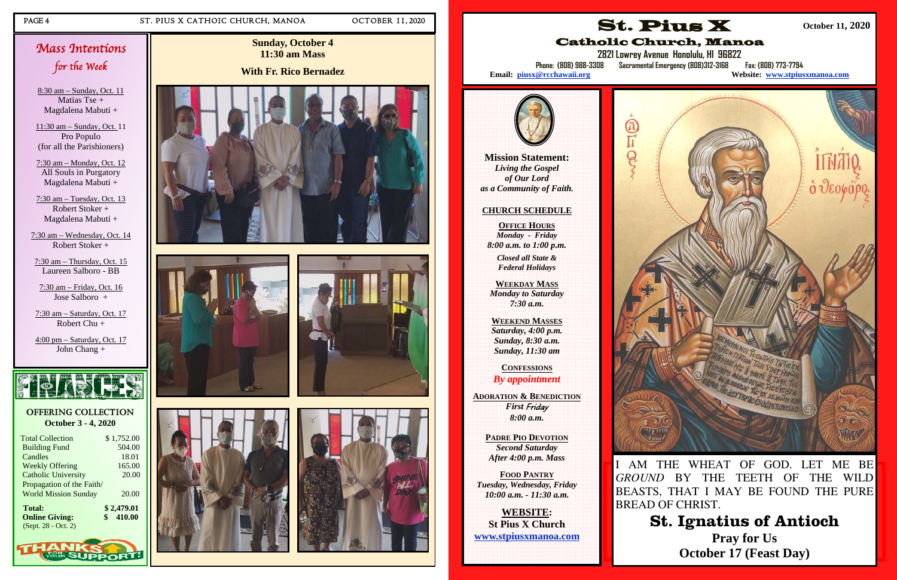## PAGE 4 ST. PIUS X CATHOIC CHURCH, MANOA OCTOBER 11, 2020

## **OFFERING COLLECTION October 3 - 4, 2020**

| <b>Total Collection</b>     | \$1,752.00   |
|-----------------------------|--------------|
| <b>Building Fund</b>        | 504.00       |
| Candles                     | 18.01        |
| <b>Weekly Offering</b>      | 165.00       |
| <b>Catholic University</b>  | 20.00        |
| Propagation of the Faith/   |              |
| <b>World Mission Sunday</b> | 20.00        |
| <b>Total:</b>               | \$2,479.01   |
| <b>Online Giving:</b>       | 410.00<br>\$ |
| (Sept. 28 - Oct. 2)         |              |
|                             |              |



# Mass Intentions for the Week

8:30 am – Sunday, Oct. 11 Matias Tse + Magdalena Mabuti +

11:30 am – Sunday, Oct. 11 Pro Populo (for all the Parishioners)

7:30 am – Monday, Oct. 12 All Souls in Purgatory Magdalena Mabuti +

7:30 am – Tuesday, Oct. 13 Robert Stoker + Magdalena Mabuti +

7:30 am – Wednesday, Oct. 14 Robert Stoker +

7:30 am – Thursday, Oct. 15 Laureen Salboro - BB

7:30 am – Friday, Oct. 16 Jose Salboro +

7:30 am – Saturday, Oct. 17 Robert Chu +

4:00 pm – Saturday, Oct. 17 John Chang +

**Sunday, October 4 11:30 am Mass With Fr. Rico Bernadez** 









AM THE WHEAT OF GOD. LET ME BE *GROUND* BY THE TEETH OF THE WILD BEASTS, THAT I MAY BE FOUND THE PURE BREAD OF CHRIST.

**Mission Statement:**  *Living the Gospel of Our Lord as a Community of Faith.* 

## **CHURCH SCHEDULE**

**OFFICE HOURS***Monday - Friday 8:00 a.m. to 1:00 p.m.* 

*Closed all State & Federal Holidays* 

**WEEKDAY MASS**  *Monday to Saturday 7:30 a.m.* 

**WEEKEND MASSES**  *Saturday, 4:00 p.m. Sunday, 8:30 a.m. Sunday, 11:30 am* 

**CONFESSIONS** *By appointment* 

**ADORATION & BENEDICTION** *First* Friday *8:00 a.m.* 

> **PADRE PIO DEVOTION** *Second Saturday After 4:00 p.m. Mass*

**FOOD PANTRY** *Tuesday, Wednesday, Friday 10:00 a.m. - 11:30 a.m.* 

**WEBSITE: St Pius X Church www.stpiusxmanoa.com** 





Email: piusx@rcchawaii.org



**St. Ignatius of Antioch Pray for Us October 17 (Feast Day)**